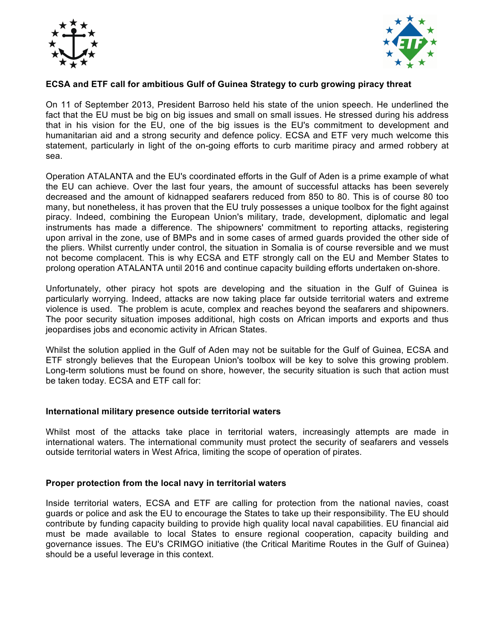



# **ECSA and ETF call for ambitious Gulf of Guinea Strategy to curb growing piracy threat**

On 11 of September 2013, President Barroso held his state of the union speech. He underlined the fact that the EU must be big on big issues and small on small issues. He stressed during his address that in his vision for the EU, one of the big issues is the EU's commitment to development and humanitarian aid and a strong security and defence policy. ECSA and ETF very much welcome this statement, particularly in light of the on-going efforts to curb maritime piracy and armed robbery at sea.

Operation ATALANTA and the EU's coordinated efforts in the Gulf of Aden is a prime example of what the EU can achieve. Over the last four years, the amount of successful attacks has been severely decreased and the amount of kidnapped seafarers reduced from 850 to 80. This is of course 80 too many, but nonetheless, it has proven that the EU truly possesses a unique toolbox for the fight against piracy. Indeed, combining the European Union's military, trade, development, diplomatic and legal instruments has made a difference. The shipowners' commitment to reporting attacks, registering upon arrival in the zone, use of BMPs and in some cases of armed guards provided the other side of the pliers. Whilst currently under control, the situation in Somalia is of course reversible and we must not become complacent. This is why ECSA and ETF strongly call on the EU and Member States to prolong operation ATALANTA until 2016 and continue capacity building efforts undertaken on-shore.

Unfortunately, other piracy hot spots are developing and the situation in the Gulf of Guinea is particularly worrying. Indeed, attacks are now taking place far outside territorial waters and extreme violence is used. The problem is acute, complex and reaches beyond the seafarers and shipowners. The poor security situation imposes additional, high costs on African imports and exports and thus jeopardises jobs and economic activity in African States.

Whilst the solution applied in the Gulf of Aden may not be suitable for the Gulf of Guinea, ECSA and ETF strongly believes that the European Union's toolbox will be key to solve this growing problem. Long-term solutions must be found on shore, however, the security situation is such that action must be taken today. ECSA and ETF call for:

## **International military presence outside territorial waters**

Whilst most of the attacks take place in territorial waters, increasingly attempts are made in international waters. The international community must protect the security of seafarers and vessels outside territorial waters in West Africa, limiting the scope of operation of pirates.

## **Proper protection from the local navy in territorial waters**

Inside territorial waters, ECSA and ETF are calling for protection from the national navies, coast guards or police and ask the EU to encourage the States to take up their responsibility. The EU should contribute by funding capacity building to provide high quality local naval capabilities. EU financial aid must be made available to local States to ensure regional cooperation, capacity building and governance issues. The EU's CRIMGO initiative (the Critical Maritime Routes in the Gulf of Guinea) should be a useful leverage in this context.